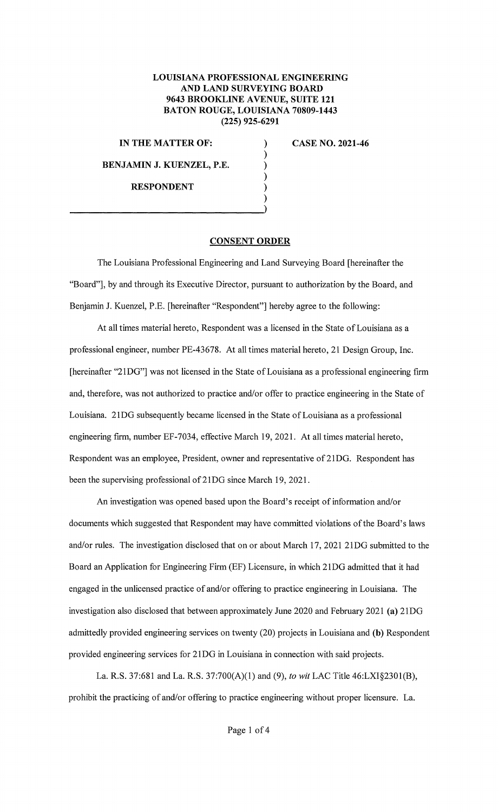## **LOUISIANA PROFESSIONAL ENGINEERING AND LAND SURVEYING BOARD 9643 BROOKLINE A VENUE, SUITE 121 BATON ROUGE, LOUISIANA 70809-1443 (225) 925-6291**

) ) ) ) ) )

**IN THE MATTER OF:** 

**BENJAMIN J. KUENZEL, P.E.** 

**RESPONDENT** 

**CASE NO. 2021-46** 

## **CONSENT ORDER**

The Louisiana Professional Engineering and Land Surveying Board [hereinafter the "Board"], by and through its Executive Director, pursuant to authorization by the Board, and Benjamin J. Kuenzel, P.E. [hereinafter "Respondent"] hereby agree to the following:

At all times material hereto, Respondent was a licensed in the State of Louisiana as a professional engineer, number PE-43678. At all times material hereto, 21 Design Group, Inc. [hereinafter "21DG"] was not licensed in the State of Louisiana as a professional engineering firm and, therefore, was not authorized to practice and/or offer to practice engineering in the State of Louisiana. 21DG subsequently became licensed in the State of Louisiana as a professional engineering firm, number EF-7034, effective March 19, 2021. At all times material hereto, Respondent was an employee, President, owner and representative of 21DG. Respondent has been the supervising professional of 21DG since March 19, 2021.

An investigation was opened based upon the Board's receipt of information and/or documents which suggested that Respondent may have committed violations of the Board's laws and/or rules. The investigation disclosed that on or about March 17, 2021 21DG submitted to the Board an Application for Engineering Firm (EF) Licensure, in which 21DG admitted that it had engaged in the unlicensed practice of and/or offering to practice engineering in Louisiana. The investigation also disclosed that between approximately June 2020 and February 2021 **(a)** 21DG admittedly provided engineering services on twenty (20) projects in Louisiana and (b) Respondent provided engineering services for 21DG in Louisiana in connection with said projects.

La. R.S. 37:681 and La. R.S. 37:700(A)(l) and (9), *to wit* LAC Title 46:LXI§2301(B), prohibit the practicing of and/or offering to practice engineering without proper licensure. La.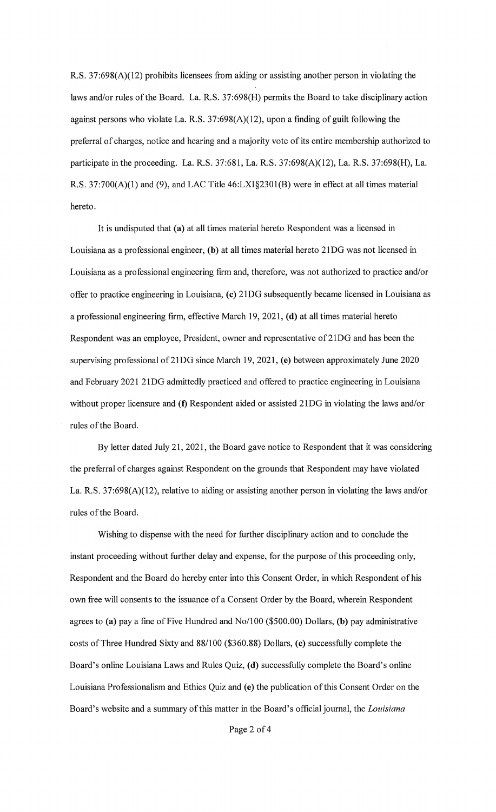R.S. 37:698(A)(l2) prohibits licensees from aiding or assisting another person in violating the laws and/or rules of the Board. La. R.S. 37:698(H) permits the Board to take disciplinary action against persons who violate La. R.S.  $37:698(A)(12)$ , upon a finding of guilt following the preferral of charges, notice and hearing and a majority vote of its entire membership authorized to participate in the proceeding. La. R.S. 37:681, La. R.S. 37:698(A)(l2), La. R.S. 37:698(H), La. R.S. 37:700(A)(l) and (9), and LAC Title 46:LXI§230l(B) were in effect at all times material hereto.

It is undisputed that **(a)** at all times material hereto Respondent was a licensed in Louisiana as a professional engineer, **(b)** at all times material hereto 21DG was not licensed in Louisiana as a professional engineering firm and, therefore, was not authorized to practice and/or offer to practice engineering in Louisiana, **(c)** 21DG subsequently became licensed in Louisiana as a professional engineering firm, effective March 19, 2021, ( **d)** at all times material hereto Respondent was an employee, President, owner and representative of 21DG and has been the supervising professional of21DG since March 19, 2021, **(e)** between approximately June 2020 and February 2021 21DG admittedly practiced and offered to practice engineering in Louisiana without proper licensure and **(f)** Respondent aided or assisted 21DG in violating the laws and/or rules of the Board.

By letter dated July 21, 2021, the Board gave notice to Respondent that it was considering the preferral of charges against Respondent on the grounds that Respondent may have violated La. **R.S.** 37:698(A)(l2), relative to aiding or assisting another person in violating the laws and/or rules of the Board.

Wishing to dispense with the need for further disciplinary action and to conclude the instant proceeding without further delay and expense, for the purpose of this proceeding only, Respondent and the Board do hereby enter into this Consent Order, in which Respondent of his own free will consents to the issuance of a Consent Order by the Board, wherein Respondent agrees to **(a)** pay a fine of Five Hundred and No/100 (\$500.00) Dollars, **(b)** pay administrative costs of Three Hundred Sixty and 88/100 (\$360.88) Dollars, **(c)** successfully complete the Board's online Louisiana Laws and Rules Quiz, **(d)** successfully complete the Board's online Louisiana Professionalism and Ethics Quiz and (e) the publication of this Consent Order on the Board's website and a summary of this matter in the Board's official journal, the *Louisiana*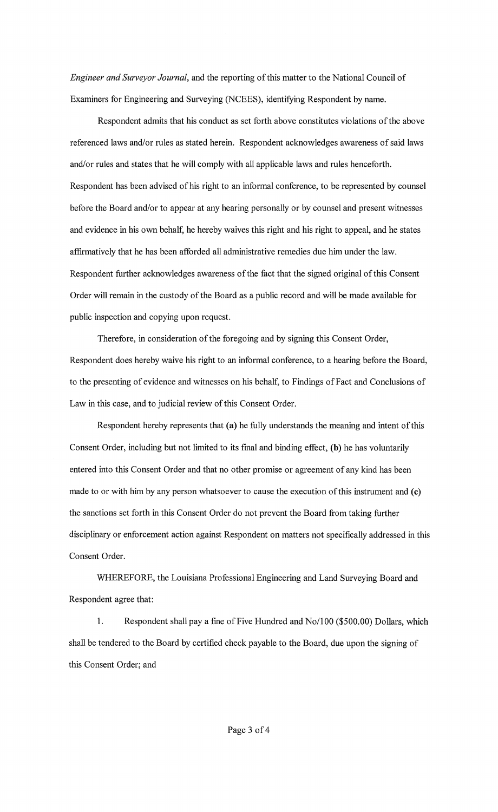*Engineer and Surveyor Journal,* and the reporting of this matter to the National Council of Examiners for Engineering and Surveying (NCEES), identifying Respondent by name.

Respondent admits that his conduct as set forth above constitutes violations of the above referenced laws and/or rules as stated herein. Respondent acknowledges awareness of said laws and/or rules and states that he will comply with all applicable laws and rules henceforth. Respondent has been advised of his right to an informal conference, to be represented by counsel before the Board and/or to appear at any hearing personally or by counsel and present witnesses and evidence in his own behalf, he hereby waives this right and his right to appeal, and he states affirmatively that he has been afforded all administrative remedies due him under the law. Respondent further acknowledges awareness of the fact that the signed original of this Consent Order will remain in the custody of the Board as a public record and will be made available for public inspection and copying upon request.

Therefore, in consideration of the foregoing and by signing this Consent Order, Respondent does hereby waive his right to an informal conference, to a hearing before the Board, to the presenting of evidence and witnesses on his behalf, to Findings of Fact and Conclusions of Law in this case, and to judicial review of this Consent Order.

Respondent hereby represents that **(a)** he fully understands the meaning and intent of this Consent Order, including but not limited to its final and binding effect, **(b)** he has voluntarily entered into this Consent Order and that no other promise or agreement of any kind has been made to or with him by any person whatsoever to cause the execution of this instrument and (c) the sanctions set forth in this Consent Order do not prevent the Board from taking further disciplinary or enforcement action against Respondent on matters not specifically addressed in this Consent Order.

WHEREFORE, the Louisiana Professional Engineering and Land Surveying Board and Respondent agree that:

1. Respondent shall pay a fine of Five Hundred and No/100 (\$500.00) Dollars, which shall be tendered to the Board by certified check payable to the Board, due upon the signing of this Consent Order; and